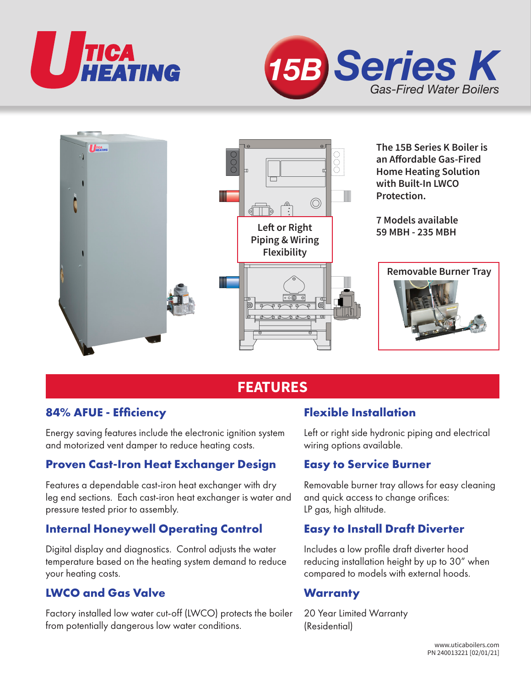





# **FEATURES**

## **84% AFUE - Efficiency**

Energy saving features include the electronic ignition system and motorized vent damper to reduce heating costs.

## **Proven Cast-Iron Heat Exchanger Design**

Features a dependable cast-iron heat exchanger with dry leg end sections. Each cast-iron heat exchanger is water and pressure tested prior to assembly.

## **Internal Honeywell Operating Control**

Digital display and diagnostics. Control adjusts the water temperature based on the heating system demand to reduce your heating costs.

## **LWCO and Gas Valve**

Factory installed low water cut-off (LWCO) protects the boiler from potentially dangerous low water conditions.

## **Flexible Installation**

Left or right side hydronic piping and electrical wiring options available.

### **Easy to Service Burner**

Removable burner tray allows for easy cleaning and quick access to change orifices: LP gas, high altitude.

## **Easy to Install Draft Diverter**

Includes a low profile draft diverter hood reducing installation height by up to 30" when compared to models with external hoods.

## **Warranty**

20 Year Limited Warranty (Residential)